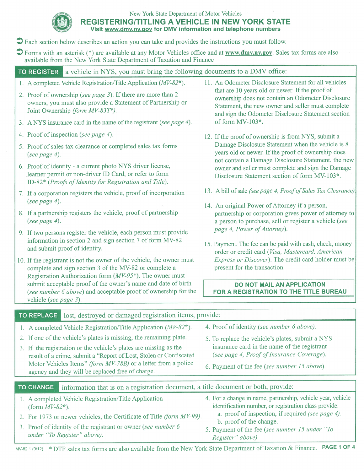

# New York State Department of Motor Vehicles REGISTERING/TITLING A VEHICLE IN NEW YORK STATE Visit www.dmv.ny.gov for DMV information and telephone numbers

- $\triangleright$  Each section below describes an action you can take and provides the instructions you must follow.
- Terms with an asterisk (\*) are available at any Motor Vehicles office and at www.dmv.ny.gov. Sales tax forms are also available from the New York State Department of Taxation and Finance

TO REGISTER a vehicle in NYS, you must bring the following documents to a DMV office:

- 1. A completed Vehicle Registration/Title Application  $(MV-82^*)$ .
- 2. Proof of ownership (see page 3). If there are more than 2 owners, you must also provide a Statement of Partnership or Joint Ownership (form MV-83T\*).
- <sup>3</sup> . A NYS insurance card in the name of the registrant (see page 4).
- 4. Proof of inspection (see page 4).
- 5. Proof of sales tax clearance or completed sales tax forms (see page 4).
- 6. Proof of identity a current photo NYS driver license, learner permit or non-driver ID Card, or refer to form ID-82\* (Proofs of Identity for Registration and Title).
- 7. If a corporation registers the vehicle, proof of incorporation (see page 4).
- 8. If a partnership registers the vehicle, proof of partnership (see page  $4$ ).
- 9. If two persons register the vehicle, each person must provide information in section 2 and sign section <sup>7</sup> of form MV-82 and submit proof of identity.
- 10. If the registrant is not the owner of the vehicle, the owner must complete and sign section <sup>3</sup> of the MV-82 or complete a Registration Authorization form  $(MV-95^*)$ . The owner must submit acceptable proof of the owner's name and date of birth (see number <sup>6</sup> above) and acceptable proof of ownership for the vehicle (see page 3).
- 11. An Odometer Disclosure Statement for all vehicles that are 10 years old or newer. If the proof of ownership does not contain an Odometer Disclosure Statement, the new owner and seller must complete and sign the Odometer Disclosure Statement section of form  $MV-103*$ .
- 12. If the proof of ownership is from NYS, submit a Damage Disclosure Statement when the vehicle is 8 years old or newer. If the proof of ownership does not contain a Damage Disclosure Statement, the new owner and seller must complete and sign the Damage<br>Disclosure Statement section of form MV-103\*.
- 13. A bill of sale (see page 4, Proof of Sales Tax Clearance).
- 14. An original Power of Attorney if a person, partnership or corporation gives power of attorney to a person to purchase, sell or register a vehicle (see page 4, Power of Attorney).
- 15. Payment. The fee can be paid with cash, check, money order or credit card (Visa, Mastercard, American Express or Discover). The credit card holder must be present for the transaction.

# DO NOT MAIL AN APPLICATION FOR A REGISTRATION TO THE TITLE BUREAU

| lost, destroyed or damaged registration items, provide:<br><b>TO REPLACE</b>                                                            |                                                                                                                      |  |
|-----------------------------------------------------------------------------------------------------------------------------------------|----------------------------------------------------------------------------------------------------------------------|--|
| 1. A completed Vehicle Registration/Title Application (MV-82*).                                                                         | 4. Proof of identity (see number 6 above).                                                                           |  |
| 2. If one of the vehicle's plates is missing, the remaining plate.                                                                      | 5. To replace the vehicle's plates, submit a NYS                                                                     |  |
| 3. If the registration or the vehicle's plates are missing as the<br>result of a crime, submit a "Report of Lost, Stolen or Confiscated | insurance card in the name of the registrant<br>(see page 4, Proof of Insurance Coverage).                           |  |
| Motor Vehicles Items" (form MV-78B) or a letter from a police<br>agency and they will be replaced free of charge.                       | 6. Payment of the fee (see number 15 above).                                                                         |  |
|                                                                                                                                         |                                                                                                                      |  |
| information that is on a registration document, a title document or both, provide:<br><b>TO CHANGE</b>                                  |                                                                                                                      |  |
| 1. A completed Vehicle Registration/Title Application<br>(form $MV-82^*$ ).                                                             | 4. For a change in name, partnership, vehicle year, vehicle<br>identification number, or registration class provide: |  |
| 2. For 1973 or newer vehicles, the Certificate of Title (form MV-99).                                                                   | a. proof of inspection, if required (see page 4).<br>b. proof of the change.                                         |  |
| 3. Proof of identity of the registrant or owner (see number 6<br>under "To Register" above).                                            | 5. Payment of the fee (see number 15 under "To<br>Register" above).                                                  |  |

MV-82.1 (9/12) \* DTF sales tax forms are also available from the New York State Department of Taxation & Finance. PAGE 1 OF 4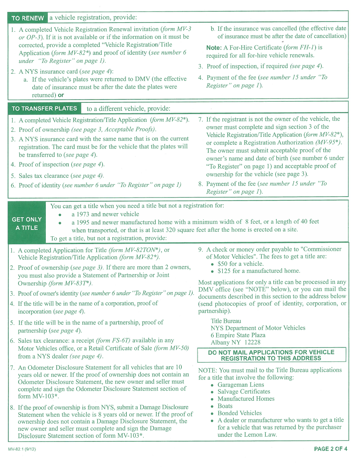| a vehicle registration, provide:<br><b>TO RENEW</b>                                                                                                                                                                                                                                                                                                                                                                                                                 |                                                                                                                                                                                                                                                                                                                                                                                                                                                                                                            |
|---------------------------------------------------------------------------------------------------------------------------------------------------------------------------------------------------------------------------------------------------------------------------------------------------------------------------------------------------------------------------------------------------------------------------------------------------------------------|------------------------------------------------------------------------------------------------------------------------------------------------------------------------------------------------------------------------------------------------------------------------------------------------------------------------------------------------------------------------------------------------------------------------------------------------------------------------------------------------------------|
| 1. A completed Vehicle Registration Renewal invitation (form MV-3<br>or $OP-3$ ). If it is not available or if the information on it must be                                                                                                                                                                                                                                                                                                                        | b. If the insurance was cancelled (the effective date<br>of insurance must be after the date of cancellation)                                                                                                                                                                                                                                                                                                                                                                                              |
| corrected, provide a completed "Vehicle Registration/Title<br>Application (form $MV-82^*$ ) and proof of identity (see number 6<br>under "To Register" on page 1).                                                                                                                                                                                                                                                                                                  | <b>Note:</b> A For-Hire Certificate (form FH-1) is<br>required for all for-hire vehicle renewals.                                                                                                                                                                                                                                                                                                                                                                                                          |
| 2. A NYS insurance card (see page 4):                                                                                                                                                                                                                                                                                                                                                                                                                               | 3. Proof of inspection, if required (see page 4).                                                                                                                                                                                                                                                                                                                                                                                                                                                          |
| a. If the vehicle's plates were returned to DMV (the effective<br>date of insurance must be after the date the plates were<br>returned) or                                                                                                                                                                                                                                                                                                                          | 4. Payment of the fee (see number 15 under "To<br>Register" on page 1).                                                                                                                                                                                                                                                                                                                                                                                                                                    |
| <b>TO TRANSFER PLATES</b><br>to a different vehicle, provide:                                                                                                                                                                                                                                                                                                                                                                                                       |                                                                                                                                                                                                                                                                                                                                                                                                                                                                                                            |
| 1. A completed Vehicle Registration/Title Application (form MV-82*).<br>2. Proof of ownership (see page 3, Acceptable Proofs).<br>3. A NYS insurance card with the same name that is on the current<br>registration. The card must be for the vehicle that the plates will<br>be transferred to (see page 4).<br>4. Proof of inspection (see page 4).<br>5. Sales tax clearance (see page 4).<br>6. Proof of identity (see number 6 under "To Register" on page 1)  | 7. If the registrant is not the owner of the vehicle, the<br>owner must complete and sign section 3 of the<br>Vehicle Registration/Title Application (form MV-82*),<br>or complete a Registration Authorization (MV-95*).<br>The owner must submit acceptable proof of the<br>owner's name and date of birth (see number 6 under<br>"To Register" on page 1) and acceptable proof of<br>ownership for the vehicle (see page 3).<br>8. Payment of the fee (see number 15 under "To<br>Register" on page 1). |
| You can get a title when you need a title but not a registration for:<br>a 1973 and newer vehicle<br><b>GET ONLY</b><br>a 1995 and newer manufactured home with a minimum width of 8 feet, or a length of 40 feet<br><b>A TITLE</b><br>when transported, or that is at least 320 square feet after the home is erected on a site.<br>To get a title, but not a registration, provide:                                                                               |                                                                                                                                                                                                                                                                                                                                                                                                                                                                                                            |
| 1. A completed Application for Title (form MV-82TON*), or<br>Vehicle Registration/Title Application (form MV-82*).<br>2. Proof of ownership (see page 3). If there are more than 2 owners,<br>you must also provide a Statement of Partnership or Joint<br>Ownership (form MV-83T*).<br>3. Proof of owner's identity (see number 6 under "To Register" on page 1).<br>4. If the title will be in the name of a corporation, proof of<br>incorporation (see page 4). | 9. A check or money order payable to "Commissioner<br>of Motor Vehicles". The fees to get a title are:<br>\$50 for a vehicle.<br>\$125 for a manufactured home.<br>Most applications for only a title can be processed in any<br>DMV office (see "NOTE" below), or you can mail the<br>documents described in this section to the address below<br>(send photocopies of proof of identity, corporation, or<br>partnership).                                                                                |
| 5. If the title will be in the name of a partnership, proof of<br>partnership (see page 4).<br>6. Sales tax clearance: a receipt (form FS-6T) available in any                                                                                                                                                                                                                                                                                                      | <b>Title Bureau</b><br>NYS Department of Motor Vehicles<br>6 Empire State Plaza<br>Albany NY 12228                                                                                                                                                                                                                                                                                                                                                                                                         |
| Motor Vehicles office, or a Retail Certificate of Sale (form MV-50)<br>from a NYS dealer (see page 4).                                                                                                                                                                                                                                                                                                                                                              | DO NOT MAIL APPLICATIONS FOR VEHICLE<br><b>REGISTRATION TO THIS ADDRESS</b>                                                                                                                                                                                                                                                                                                                                                                                                                                |
| 7. An Odometer Disclosure Statement for all vehicles that are 10<br>years old or newer. If the proof of ownership does not contain an<br>Odometer Disclosure Statement, the new owner and seller must<br>complete and sign the Odometer Disclosure Statement section of<br>form $MV-103*$ .                                                                                                                                                                         | NOTE: You must mail to the Title Bureau applications<br>for a title that involve the following:<br>• Garageman Liens<br><b>Salvage Certificates</b><br><b>Manufactured Homes</b>                                                                                                                                                                                                                                                                                                                           |
| 8. If the proof of ownership is from NYS, submit a Damage Disclosure<br>Statement when the vehicle is 8 years old or newer. If the proof of<br>ownership does not contain a Damage Disclosure Statement, the<br>new owner and seller must complete and sign the Damage<br>Disclosure Statement section of form MV-103*.                                                                                                                                             | <b>Boats</b><br><b>Bonded Vehicles</b><br>• A dealer or manufacturer who wants to get a title<br>for a vehicle that was returned by the purchaser<br>under the Lemon Law.                                                                                                                                                                                                                                                                                                                                  |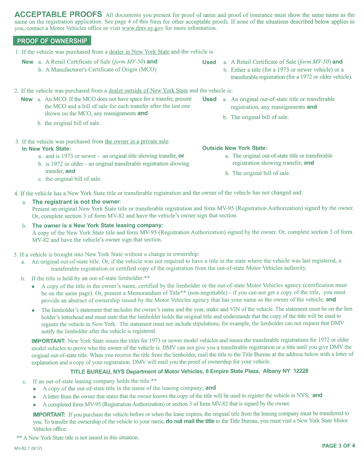ACCEPTABLE PROOFS All documents you present for proof of name and proof of insurance must show the same name as the name on the registration application. See page 4 of this form for other acceptable proofs. If none of the situations described below applies to you, contact a Motor Vehicles office or visit www.drnv.ny.gov for more information.

## PROOF OF OWNERSHIP

- <sup>1</sup> . If the vehicle was purchased from a dealer in New York State and the vehicle is:
	- New a. A Retail Certificate of Sale (form MV-50) and Used a. A Retail Certificate of Sale (form MV-50) and
		-
- 
- b. A Manufacturer's Certificate of Origin (MCO) b. Either a title (for a 1973 or newer vehicle) or a transferable registration (for a 1972 or older vehicle).

2. If the vehicle was purchased from a dealer outside of New York State and the vehicle is:

- New a. An MCO. If the MCO does not have space for a transfer, present Used a. An original out-of-state title or transferable the MCO and a bill of sale for each transfer after the last one registration, any reassignments and shown on the MCO, any reassignments and
	- b. the original bill of sale.
- 3. If the vehicle was purchased from the owner in a private sale:<br>In New York State:

- a. and is 1973 or newer an original title showing transfer, **or** a. The original out-of-state title or trans<br>h is 1972 or older an original transferable registration showing **a** registration showing transfer, **and**
- b. is 1972 or older an original transferable registration showing transfer, and b. The original bill of sale.
- c. the original bill of sale.

- **Outside New York State:**<br>a. The original out-of-state title or transferable
	-
	-

b. The original bill of sale.

4. If the vehicle has a New York State title or transferable registration and the owner of the vehicle has not changed and:

### a. The registrant is not the owner:

Present an original New York State title or transferable registration and form MV-95 (Registration Authorization) signed by the owner. Or, complete section <sup>3</sup> of form MV-82 and have the vehicle's owner sign that section.

## b. The owner is a New York State leasing company:

A copy of the New York State title and form MV-95 (Registration Authorization) signed by the owner. Or, complete section <sup>3</sup> of form MV-82 and have the vehicle's owner sign that section.

## 5. If a vehicle is brought into New York State without a change in ownership:

- a. An original out-of-state title. Or, if the vehicle was not required to have a title in the state where the vehicle was last registered, a transferable registration or certified copy of the registration from the out-of-state Motor Vehicles authority.
- b. If the title is held by an out-of-state lienholder:\*\*
	- . <sup>A</sup> copy of the title in the owner's name, certified by the lienholder or the out-of-state Motor Vehicles agency (certification must be on the same page). Or, present a Memorandum of Title\*\* (non-negotiable) - if you can not get a copy of the title, you must provide an abstract of ownership issued by the Motor Vehicles agency that has your name as the owner of the vehicle; and
	- The lienholder's statement that includes the owner's name and the year, make and VIN of the vehicle. The statement must be on the lien holder's letterhead and must state that the lienholder holds the original title and understands that the copy of the title will be used to register the vehicle in New York. The statement must not include stipulations; for example, the lienholder can not request that DMV notify the lienholder after the vehicle is registered.

IMPORTANT: New York State issues the titles for 1973 or newer model vehicles and issues the transferable registrations for 1972 or older model vehicles to prove who the owner of the vehicle is. DMV can not give you a transferable registration or a title until you give DMV the original out-of-state title. When you receive the title from the lienholdei; mail the title to the Title Bureau at the address below with a letter of explanation and a copy of your registration. DMV will mail you the proof of ownership for your vehicle.

### TITLE BUREAU, NYS Department of Motor Vehicles, 6 Empire State Plaza, Albany NY 12228

- c. If an out-of-state leasing company holds the title:\*\*
	- $\bullet$  A copy of the out-of-state title in the name of the leasing company; and
		- A letter from the owner that states that the owner knows the copy of the title will be used to register the vehicle in NYS; and
		- . <sup>A</sup> completed form MV-95 (Registration Authorization) or section <sup>3</sup> of form MV-82 that is signed by the ownei

**IMPORTANT:** If you purchase the vehicle before or when the lease expires, the original title from the leasing company must be transferred to you. To transfer the ownership of the vehicle to your name, **do not mail the title** to the Title Bureau, you must visit a New York State Motor Vehicles office.

\*\* A New York State title is not issued in this situation.